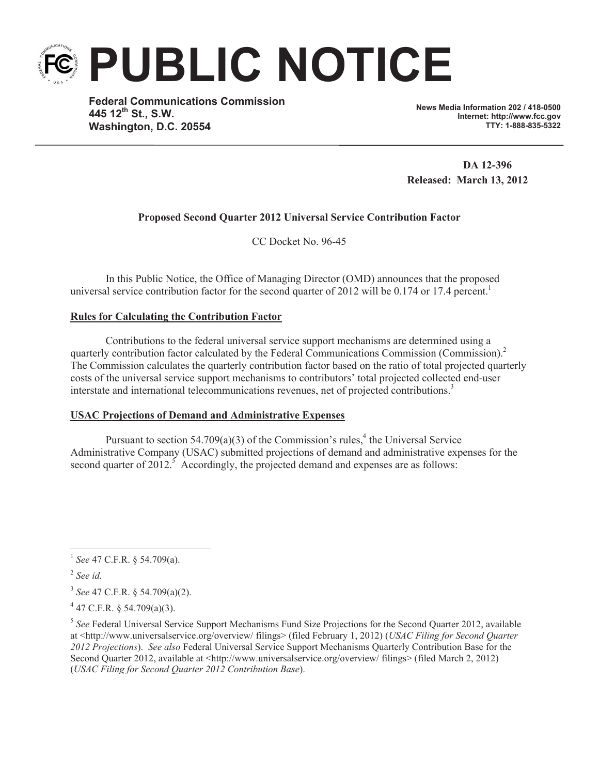

**PUBLIC NOTICE**

**Federal Communications Commission 445 12th St., S.W. Washington, D.C. 20554**

**News Media Information 202 / 418-0500 Internet: http://www.fcc.gov TTY: 1-888-835-5322**

**DA 12-396 Released: March 13, 2012**

# **Proposed Second Quarter 2012 Universal Service Contribution Factor**

CC Docket No. 96-45

In this Public Notice, the Office of Managing Director (OMD) announces that the proposed universal service contribution factor for the second quarter of 2012 will be 0.174 or 17.4 percent.<sup>1</sup>

# **Rules for Calculating the Contribution Factor**

Contributions to the federal universal service support mechanisms are determined using a quarterly contribution factor calculated by the Federal Communications Commission (Commission).<sup>2</sup> The Commission calculates the quarterly contribution factor based on the ratio of total projected quarterly costs of the universal service support mechanisms to contributors' total projected collected end-user interstate and international telecommunications revenues, net of projected contributions.<sup>3</sup>

## **USAC Projections of Demand and Administrative Expenses**

Pursuant to section 54.709(a)(3) of the Commission's rules,<sup>4</sup> the Universal Service Administrative Company (USAC) submitted projections of demand and administrative expenses for the second quarter of  $2012<sup>5</sup>$  Accordingly, the projected demand and expenses are as follows:

<sup>1</sup> *See* 47 C.F.R. § 54.709(a).

<sup>2</sup> *See id.*

<sup>3</sup> *See* 47 C.F.R. § 54.709(a)(2).

 $4$  47 C.F.R. § 54.709(a)(3).

<sup>&</sup>lt;sup>5</sup> See Federal Universal Service Support Mechanisms Fund Size Projections for the Second Quarter 2012, available at <http://www.universalservice.org/overview/ filings> (filed February 1, 2012) (*USAC Filing for Second Quarter 2012 Projections*). *See also* Federal Universal Service Support Mechanisms Quarterly Contribution Base for the Second Quarter 2012, available at <http://www.universalservice.org/overview/ filings> (filed March 2, 2012) (*USAC Filing for Second Quarter 2012 Contribution Base*).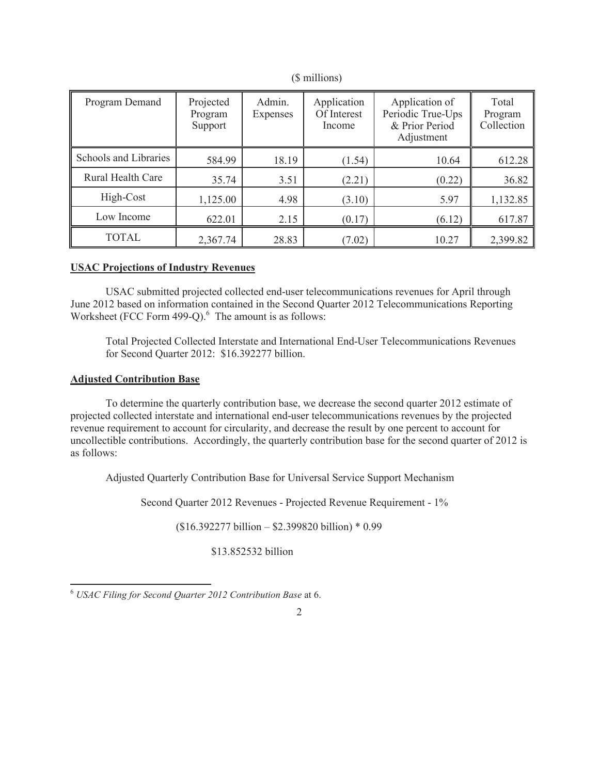| Program Demand        | Projected<br>Program<br>Support | Admin.<br>Expenses | Application<br>Of Interest<br>Income | Application of<br>Periodic True-Ups<br>& Prior Period<br>Adjustment | Total<br>Program<br>Collection |
|-----------------------|---------------------------------|--------------------|--------------------------------------|---------------------------------------------------------------------|--------------------------------|
| Schools and Libraries | 584.99                          | 18.19              | (1.54)                               | 10.64                                                               | 612.28                         |
| Rural Health Care     | 35.74                           | 3.51               | (2.21)                               | (0.22)                                                              | 36.82                          |
| High-Cost             | 1,125.00                        | 4.98               | (3.10)                               | 5.97                                                                | 1,132.85                       |
| Low Income            | 622.01                          | 2.15               | (0.17)                               | (6.12)                                                              | 617.87                         |
| <b>TOTAL</b>          | 2,367.74                        | 28.83              | (7.02)                               | 10.27                                                               | 2,399.82                       |

(\$ millions)

## **USAC Projections of Industry Revenues**

USAC submitted projected collected end-user telecommunications revenues for April through June 2012 based on information contained in the Second Quarter 2012 Telecommunications Reporting Worksheet (FCC Form 499-Q). $<sup>6</sup>$  The amount is as follows:</sup>

Total Projected Collected Interstate and International End-User Telecommunications Revenues for Second Quarter 2012: \$16.392277 billion.

## **Adjusted Contribution Base**

To determine the quarterly contribution base, we decrease the second quarter 2012 estimate of projected collected interstate and international end-user telecommunications revenues by the projected revenue requirement to account for circularity, and decrease the result by one percent to account for uncollectible contributions. Accordingly, the quarterly contribution base for the second quarter of 2012 is as follows:

Adjusted Quarterly Contribution Base for Universal Service Support Mechanism

Second Quarter 2012 Revenues - Projected Revenue Requirement - 1%

(\$16.392277 billion – \$2.399820 billion) \* 0.99

\$13.852532 billion

2

<sup>6</sup> *USAC Filing for Second Quarter 2012 Contribution Base* at 6.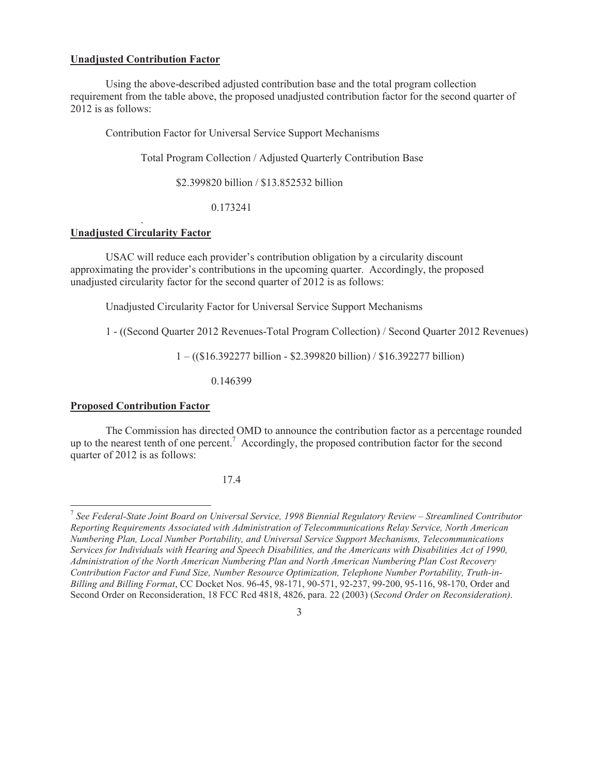#### **Unadjusted Contribution Factor**

Using the above-described adjusted contribution base and the total program collection requirement from the table above, the proposed unadjusted contribution factor for the second quarter of 2012 is as follows:

Contribution Factor for Universal Service Support Mechanisms

Total Program Collection / Adjusted Quarterly Contribution Base

\$2.399820 billion / \$13.852532 billion

0.173241

## . **Unadjusted Circularity Factor**

USAC will reduce each provider's contribution obligation by a circularity discount approximating the provider's contributions in the upcoming quarter. Accordingly, the proposed unadjusted circularity factor for the second quarter of 2012 is as follows:

Unadjusted Circularity Factor for Universal Service Support Mechanisms

1 - ((Second Quarter 2012 Revenues-Total Program Collection) / Second Quarter 2012 Revenues)

1 – ((\$16.392277 billion - \$2.399820 billion) / \$16.392277 billion)

0.146399

### **Proposed Contribution Factor**

The Commission has directed OMD to announce the contribution factor as a percentage rounded up to the nearest tenth of one percent.<sup>7</sup> Accordingly, the proposed contribution factor for the second quarter of 2012 is as follows:

17.4

3

<sup>7</sup> *See Federal-State Joint Board on Universal Service, 1998 Biennial Regulatory Review – Streamlined Contributor Reporting Requirements Associated with Administration of Telecommunications Relay Service, North American Numbering Plan, Local Number Portability, and Universal Service Support Mechanisms, Telecommunications Services for Individuals with Hearing and Speech Disabilities, and the Americans with Disabilities Act of 1990, Administration of the North American Numbering Plan and North American Numbering Plan Cost Recovery Contribution Factor and Fund Size, Number Resource Optimization, Telephone Number Portability, Truth-in-Billing and Billing Format*, CC Docket Nos. 96-45, 98-171, 90-571, 92-237, 99-200, 95-116, 98-170, Order and Second Order on Reconsideration, 18 FCC Rcd 4818, 4826, para. 22 (2003) (*Second Order on Reconsideration)*.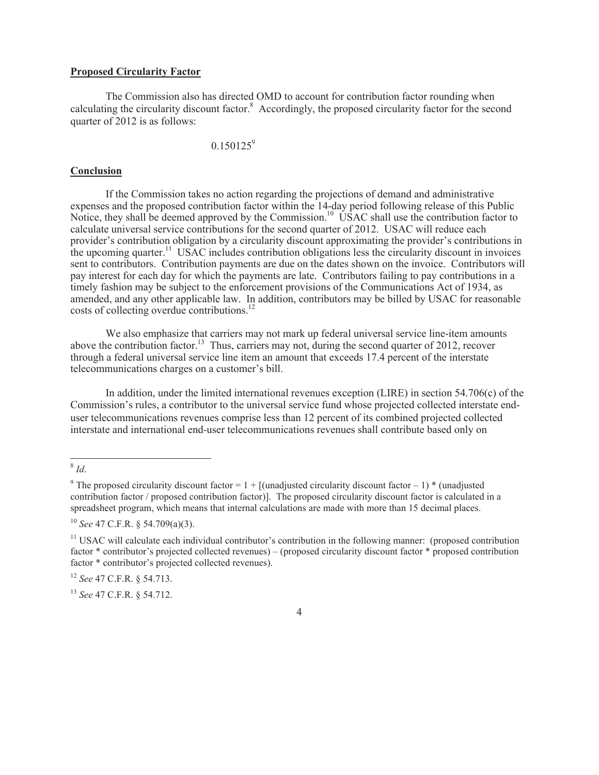## **Proposed Circularity Factor**

The Commission also has directed OMD to account for contribution factor rounding when calculating the circularity discount factor.<sup>8</sup> Accordingly, the proposed circularity factor for the second quarter of 2012 is as follows:

 $0.150125^9$ 

#### **Conclusion**

If the Commission takes no action regarding the projections of demand and administrative expenses and the proposed contribution factor within the 14-day period following release of this Public Notice, they shall be deemed approved by the Commission.<sup>10</sup> USAC shall use the contribution factor to calculate universal service contributions for the second quarter of 2012. USAC will reduce each provider's contribution obligation by a circularity discount approximating the provider's contributions in the upcoming quarter.<sup>11</sup> USAC includes contribution obligations less the circularity discount in invoices sent to contributors. Contribution payments are due on the dates shown on the invoice. Contributors will pay interest for each day for which the payments are late. Contributors failing to pay contributions in a timely fashion may be subject to the enforcement provisions of the Communications Act of 1934, as amended, and any other applicable law. In addition, contributors may be billed by USAC for reasonable costs of collecting overdue contributions.<sup>12</sup>

We also emphasize that carriers may not mark up federal universal service line-item amounts above the contribution factor.<sup>13</sup> Thus, carriers may not, during the second quarter of 2012, recover through a federal universal service line item an amount that exceeds 17.4 percent of the interstate telecommunications charges on a customer's bill.

In addition, under the limited international revenues exception (LIRE) in section 54.706(c) of the Commission's rules, a contributor to the universal service fund whose projected collected interstate enduser telecommunications revenues comprise less than 12 percent of its combined projected collected interstate and international end-user telecommunications revenues shall contribute based only on

<sup>12</sup> *See* 47 C.F.R. § 54.713.

<sup>13</sup> *See* 47 C.F.R. § 54.712.

4

<sup>8</sup> *Id*.

<sup>&</sup>lt;sup>9</sup> The proposed circularity discount factor =  $1 +$  [(unadjusted circularity discount factor – 1) \* (unadjusted contribution factor / proposed contribution factor)]. The proposed circularity discount factor is calculated in a spreadsheet program, which means that internal calculations are made with more than 15 decimal places.

<sup>10</sup> *See* 47 C.F.R. § 54.709(a)(3).

<sup>&</sup>lt;sup>11</sup> USAC will calculate each individual contributor's contribution in the following manner: (proposed contribution factor \* contributor's projected collected revenues) – (proposed circularity discount factor \* proposed contribution factor \* contributor's projected collected revenues).